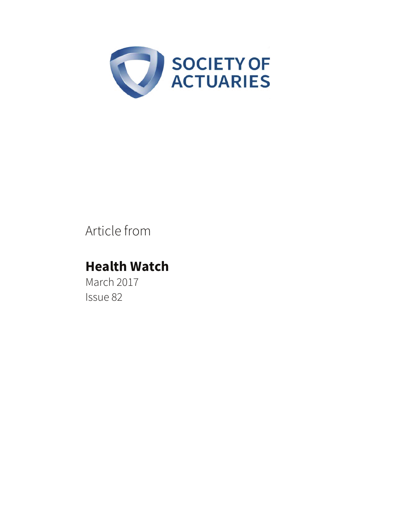

# Article from

# **Health Watch**

March 2017 Issue 82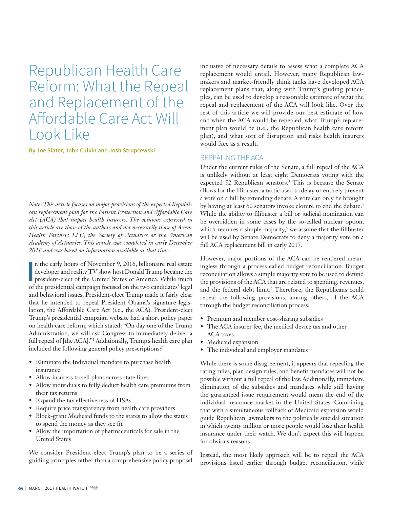Republican Health Care Reform: What the Repeal and Replacement of the Affordable Care Act Will Look Like

**By Joe Slater, John Culkin and Josh Strupcewski**

*Note: This article focuses on major provisions of the expected Republican replacement plan for the Patient Protection and Affordable Care Act (ACA) that impact health insurers. The opinions expressed in this article are those of the authors and not necessarily those of Axene Health Partners LLC, the Society of Actuaries or the American Academy of Actuaries. This article was completed in early December 2016 and was based on information available at that time.* 

In the early hours of November 9, 2016, billionaire real estate developer and reality TV show host Donald Trump became the president-elect of the United States of America. While much of the presidential campaign focused on n the early hours of November 9, 2016, billionaire real estate developer and reality TV show host Donald Trump became the president-elect of the United States of America. While much and behavioral issues, President-elect Trump made it fairly clear that he intended to repeal President Obama's signature legislation, the Affordable Care Act (i.e., the ACA). President-elect Trump's presidential campaign website had a short policy paper on health care reform, which stated: "On day one of the Trump Administration, we will ask Congress to immediately deliver a full repeal of [the ACA]."1 Additionally, Trump's health care plan included the following general policy prescriptions:<sup>2</sup>

- Eliminate the Individual mandate to purchase health insurance
- Allow insurers to sell plans across state lines
- Allow individuals to fully deduct health care premiums from their tax returns
- Expand the tax effectiveness of HSAs
- Require price transparency from health care providers
- Block-grant Medicaid funds to the states to allow the states to spend the money as they see fit
- Allow the importation of pharmaceuticals for sale in the United States

We consider President-elect Trump's plan to be a series of guiding principles rather than a comprehensive policy proposal

inclusive of necessary details to assess what a complete ACA replacement would entail. However, many Republican lawmakers and market-friendly think tanks have developed ACA replacement plans that, along with Trump's guiding principles, can be used to develop a reasonable estimate of what the repeal and replacement of the ACA will look like. Over the rest of this article we will provide our best estimate of how and when the ACA would be repealed, what Trump's replacement plan would be (i.e., the Republican health care reform plan), and what sort of disruption and risks health insurers would face as a result.

#### REPEALING THE ACA

Under the current rules of the Senate, a full repeal of the ACA is unlikely without at least eight Democrats voting with the expected 52 Republican senators.<sup>3</sup> This is because the Senate allows for the filibuster, a tactic used to delay or entirely prevent a vote on a bill by extending debate. A vote can only be brought by having at least 60 senators invoke cloture to end the debate.<sup>4</sup> While the ability to filibuster a bill or judicial nomination can be overridden in some cases by the so-called nuclear option, which requires a simple majority,<sup>5</sup> we assume that the filibuster will be used by Senate Democrats to deny a majority vote on a full ACA replacement bill in early 2017.

However, major portions of the ACA can be rendered meaningless through a process called budget reconciliation. Budget reconciliation allows a simple majority vote to be used to defund the provisions of the ACA that are related to spending, revenues, and the federal debt limit.<sup>6</sup> Therefore, the Republicans could repeal the following provisions, among others, of the ACA through the budget reconciliation process:

- Premium and member cost-sharing subsidies
- The ACA insurer fee, the medical device tax and other ACA taxes
- Medicaid expansion
- The individual and employer mandates

While there is some disagreement, it appears that repealing the rating rules, plan design rules, and benefit mandates will not be possible without a full repeal of the law. Additionally, immediate elimination of the subsidies and mandates while still having the guaranteed issue requirement would mean the end of the individual insurance market in the United States. Combining that with a simultaneous rollback of Medicaid expansion would guide Republican lawmakers to the politically suicidal situation in which twenty million or more people would lose their health insurance under their watch. We don't expect this will happen for obvious reasons.

Instead, the most likely approach will be to repeal the ACA provisions listed earlier through budget reconciliation, while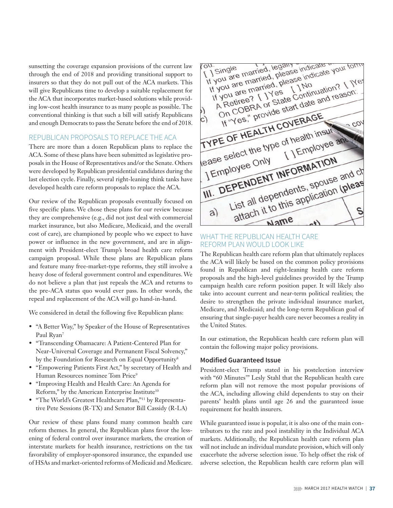sunsetting the coverage expansion provisions of the current law through the end of 2018 and providing transitional support to insurers so that they do not pull out of the ACA markets. This will give Republicans time to develop a suitable replacement for the ACA that incorporates market-based solutions while providing low-cost health insurance to as many people as possible. The conventional thinking is that such a bill will satisfy Republicans and enough Democrats to pass the Senate before the end of 2018.

### REPUBLICAN PROPOSALS TO REPLACE THE ACA

There are more than a dozen Republican plans to replace the ACA. Some of these plans have been submitted as legislative proposals in the House of Representatives and/or the Senate. Others were developed by Republican presidential candidates during the last election cycle. Finally, several right-leaning think tanks have developed health care reform proposals to replace the ACA.

Our review of the Republican proposals eventually focused on five specific plans. We chose these plans for our review because they are comprehensive (e.g., did not just deal with commercial market insurance, but also Medicare, Medicaid, and the overall cost of care), are championed by people who we expect to have power or influence in the new government, and are in alignment with President-elect Trump's broad health care reform campaign proposal. While these plans are Republican plans and feature many free-market-type reforms, they still involve a heavy dose of federal government control and expenditures. We do not believe a plan that just repeals the ACA and returns to the pre-ACA status quo would ever pass. In other words, the repeal and replacement of the ACA will go hand-in-hand.

We considered in detail the following five Republican plans:

- "A Better Way," by Speaker of the House of Representatives Paul Ryan7
- "Transcending Obamacare: A Patient-Centered Plan for Near-Universal Coverage and Permanent Fiscal Solvency," by the Foundation for Research on Equal Opportunity<sup>8</sup>
- "Empowering Patients First Act," by secretary of Health and Human Resources nominee Tom Price<sup>9</sup>
- "Improving Health and Health Care: An Agenda for Reform," by the American Enterprise Institute<sup>10</sup>
- "The World's Greatest Healthcare Plan,"11 by Representative Pete Sessions (R-TX) and Senator Bill Cassidy (R-LA)

Our review of these plans found many common health care reform themes. In general, the Republican plans favor the lessening of federal control over insurance markets, the creation of interstate markets for health insurance, restrictions on the tax favorability of employer-sponsored insurance, the expanded use of HSAs and market-oriented reforms of Medicaid and Medicare.

1 Single<br>1 Single married, legally<br>1 you are married, please indicate<br>1 you are married, please indicate ou.<br>[15 ingle married, legary<br>1f you are married, please 1 Single married, legally<br>If you are married, please indicate your form<br>If you are married, please indicate your form<br>If you are married, please indicate your T. I Ne  $\frac{64}{1}$ Single ou are married, please indicate?<br>you are married, please indicate?<br>you are married, please indicate?<br>You are married, please indication? I Nes<br>A Retiree? I I Yes Continuation? I Nes<br>A Retiree? I I State Continuation? you are married, please the<br>Hyou are married, please the<br>Hyou are married, please the<br>A Retiree? L I State Contin you are married, Pre [ ] No<br>you are married, Pre [ ] No<br>you are married, Pre [ ] No<br>Vou are married, Pre Continuation? [ ] TYPE OF HEALTH COVERAGE TYPE OF HEALTH COVERT insur-<br>TYPE OF HEALTH COVERT insur-<br>lease select the type of health insurof health insur-<br>[ ] Employee and The Select the Contract of The Sease Select the Contract of The Sease Seasons The Temployee The Seasons Spouse List all dependents, spouse and charges and charges and charges and charges and charges and charges and charges and charges and charges and charges and charges and charges and charges and charges and charges and charges an PENDENT INT Spouse and of<br>List all dependents, spouse and of<br>attach it to this application (please)  $(a)$ Name

## WHAT THE REPUBLICAN HEALTH CARE REFORM PLAN WOULD LOOK LIKE

The Republican health care reform plan that ultimately replaces the ACA will likely be based on the common policy provisions found in Republican and right-leaning health care reform proposals and the high-level guidelines provided by the Trump campaign health care reform position paper. It will likely also take into account current and near-term political realities; the desire to strengthen the private individual insurance market, Medicare, and Medicaid; and the long-term Republican goal of ensuring that single-payer health care never becomes a reality in the United States.

In our estimation, the Republican health care reform plan will contain the following major policy provisions.

#### **Modified Guaranteed Issue**

President-elect Trump stated in his postelection interview with "60 Minutes'" Lesly Stahl that the Republican health care reform plan will not remove the most popular provisions of the ACA, including allowing child dependents to stay on their parents' health plans until age 26 and the guaranteed issue requirement for health insurers.

While guaranteed issue is popular, it is also one of the main contributors to the rate and pool instability in the Individual ACA markets. Additionally, the Republican health care reform plan will not include an individual mandate provision, which will only exacerbate the adverse selection issue. To help offset the risk of adverse selection, the Republican health care reform plan will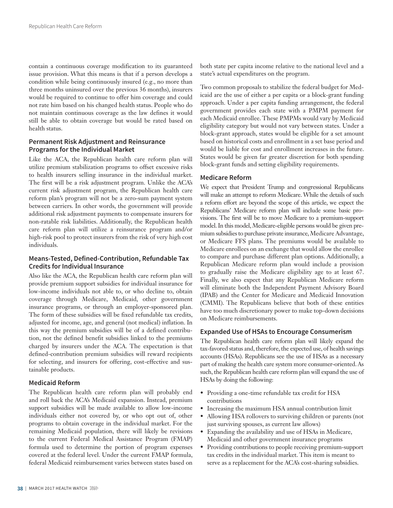contain a continuous coverage modification to its guaranteed issue provision. What this means is that if a person develops a condition while being continuously insured (e.g., no more than three months uninsured over the previous 36 months), insurers would be required to continue to offer him coverage and could not rate him based on his changed health status. People who do not maintain continuous coverage as the law defines it would still be able to obtain coverage but would be rated based on health status.

#### **Permanent Risk Adjustment and Reinsurance Programs for the Individual Market**

Like the ACA, the Republican health care reform plan will utilize premium stabilization programs to offset excessive risks to health insurers selling insurance in the individual market. The first will be a risk adjustment program. Unlike the ACA's current risk adjustment program, the Republican health care reform plan's program will not be a zero-sum payment system between carriers. In other words, the government will provide additional risk adjustment payments to compensate insurers for non-ratable risk liabilities. Additionally, the Republican health care reform plan will utilize a reinsurance program and/or high-risk pool to protect insurers from the risk of very high cost individuals.

#### **Means-Tested, Defined-Contribution, Refundable Tax Credits for Individual Insurance**

Also like the ACA, the Republican health care reform plan will provide premium support subsidies for individual insurance for low-income individuals not able to, or who decline to, obtain coverage through Medicare, Medicaid, other government insurance programs, or through an employer-sponsored plan. The form of these subsidies will be fixed refundable tax credits, adjusted for income, age, and general (not medical) inflation. In this way the premium subsidies will be of a defined contribution, not the defined benefit subsidies linked to the premiums charged by insurers under the ACA. The expectation is that defined-contribution premium subsidies will reward recipients for selecting, and insurers for offering, cost-effective and sustainable products.

#### **Medicaid Reform**

The Republican health care reform plan will probably end and roll back the ACA's Medicaid expansion. Instead, premium support subsidies will be made available to allow low-income individuals either not covered by, or who opt out of, other programs to obtain coverage in the individual market. For the remaining Medicaid population, there will likely be revisions to the current Federal Medical Assistance Program (FMAP) formula used to determine the portion of program expenses covered at the federal level. Under the current FMAP formula, federal Medicaid reimbursement varies between states based on

both state per capita income relative to the national level and a state's actual expenditures on the program.

Two common proposals to stabilize the federal budget for Medicaid are the use of either a per capita or a block-grant funding approach. Under a per capita funding arrangement, the federal government provides each state with a PMPM payment for each Medicaid enrollee. These PMPMs would vary by Medicaid eligibility category but would not vary between states. Under a block-grant approach, states would be eligible for a set amount based on historical costs and enrollment in a set base period and would be liable for cost and enrollment increases in the future. States would be given far greater discretion for both spending block-grant funds and setting eligibility requirements.

#### **Medicare Reform**

We expect that President Trump and congressional Republicans will make an attempt to reform Medicare. While the details of such a reform effort are beyond the scope of this article, we expect the Republicans' Medicare reform plan will include some basic provisions. The first will be to move Medicare to a premium-support model. In this model, Medicare-eligible persons would be given premium subsidies to purchase private insurance, Medicare Advantage, or Medicare FFS plans. The premiums would be available to Medicare enrollees on an exchange that would allow the enrollee to compare and purchase different plan options. Additionally, a Republican Medicare reform plan would include a provision to gradually raise the Medicare eligibility age to at least 67. Finally, we also expect that any Republican Medicare reform will eliminate both the Independent Payment Advisory Board (IPAB) and the Center for Medicare and Medicaid Innovation (CMMI). The Republicans believe that both of these entities have too much discretionary power to make top-down decisions on Medicare reimbursements.

#### **Expanded Use of HSAs to Encourage Consumerism**

The Republican health care reform plan will likely expand the tax-favored status and, therefore, the expected use, of health savings accounts (HSAs). Republicans see the use of HSAs as a necessary part of making the health care system more consumer-oriented. As such, the Republican health care reform plan will expand the use of HSAs by doing the following:

- Providing a one-time refundable tax credit for HSA contributions
- Increasing the maximum HSA annual contribution limit
- Allowing HSA rollovers to surviving children or parents (not just surviving spouses, as current law allows)
- Expanding the availability and use of HSAs in Medicare, Medicaid and other government insurance programs
- Providing contributions to people receiving premium-support tax credits in the individual market. This item is meant to serve as a replacement for the ACA's cost-sharing subsidies.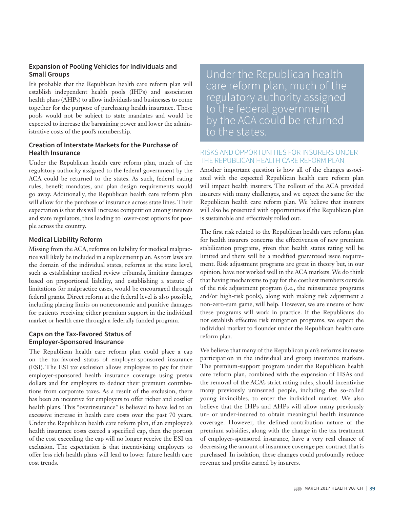### **Expansion of Pooling Vehicles for Individuals and Small Groups**

It's probable that the Republican health care reform plan will establish independent health pools (IHPs) and association health plans (AHPs) to allow individuals and businesses to come together for the purpose of purchasing health insurance. These pools would not be subject to state mandates and would be expected to increase the bargaining power and lower the administrative costs of the pool's membership.

### **Creation of Interstate Markets for the Purchase of Health Insurance**

Under the Republican health care reform plan, much of the regulatory authority assigned to the federal government by the ACA could be returned to the states. As such, federal rating rules, benefit mandates, and plan design requirements would go away. Additionally, the Republican health care reform plan will allow for the purchase of insurance across state lines. Their expectation is that this will increase competition among insurers and state regulators, thus leading to lower-cost options for people across the country.

#### **Medical Liability Reform**

Missing from the ACA, reforms on liability for medical malpractice will likely be included in a replacement plan. As tort laws are the domain of the individual states, reforms at the state level, such as establishing medical review tribunals, limiting damages based on proportional liability, and establishing a statute of limitations for malpractice cases, would be encouraged through federal grants. Direct reform at the federal level is also possible, including placing limits on noneconomic and punitive damages for patients receiving either premium support in the individual market or health care through a federally funded program.

### **Caps on the Tax-Favored Status of Employer-Sponsored Insurance**

The Republican health care reform plan could place a cap on the tax-favored status of employer-sponsored insurance (ESI). The ESI tax exclusion allows employees to pay for their employer-sponsored health insurance coverage using pretax dollars and for employers to deduct their premium contributions from corporate taxes. As a result of the exclusion, there has been an incentive for employers to offer richer and costlier health plans. This "overinsurance" is believed to have led to an excessive increase in health care costs over the past 70 years. Under the Republican health care reform plan, if an employee's health insurance costs exceed a specified cap, then the portion of the cost exceeding the cap will no longer receive the ESI tax exclusion. The expectation is that incentivizing employers to offer less rich health plans will lead to lower future health care cost trends.

Under the Republican health care reform plan, much of the regulatory authority assigned to the federal government by the ACA could be returned to the states.

## RISKS AND OPPORTUNITIES FOR INSURERS UNDER THE REPUBLICAN HEALTH CARE REFORM PLAN

Another important question is how all of the changes associated with the expected Republican health care reform plan will impact health insurers. The rollout of the ACA provided insurers with many challenges, and we expect the same for the Republican health care reform plan. We believe that insurers will also be presented with opportunities if the Republican plan is sustainable and effectively rolled out.

The first risk related to the Republican health care reform plan for health insurers concerns the effectiveness of new premium stabilization programs, given that health status rating will be limited and there will be a modified guaranteed issue requirement. Risk adjustment programs are great in theory but, in our opinion, have not worked well in the ACA markets. We do think that having mechanisms to pay for the costliest members outside of the risk adjustment program (i.e., the reinsurance programs and/or high-risk pools), along with making risk adjustment a non-zero-sum game, will help. However, we are unsure of how these programs will work in practice. If the Republicans do not establish effective risk mitigation programs, we expect the individual market to flounder under the Republican health care reform plan.

We believe that many of the Republican plan's reforms increase participation in the individual and group insurance markets. The premium-support program under the Republican health care reform plan, combined with the expansion of HSAs and the removal of the ACA's strict rating rules, should incentivize many previously uninsured people, including the so-called young invincibles, to enter the individual market. We also believe that the IHPs and AHPs will allow many previously un- or under-insured to obtain meaningful health insurance coverage. However, the defined-contribution nature of the premium subsidies, along with the change in the tax treatment of employer-sponsored insurance, have a very real chance of decreasing the amount of insurance coverage per contract that is purchased. In isolation, these changes could profoundly reduce revenue and profits earned by insurers.